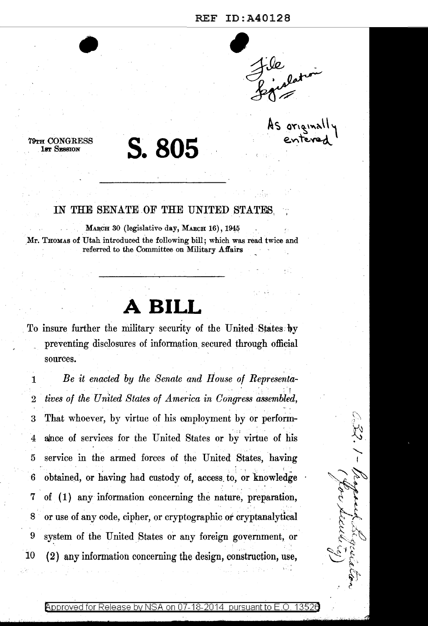As original

**S.805** 

•

'19TH CONGRESS 18T SESSION

## IN THE SENATE OF THE UNITED STATES.

MARCH 30 (legislative day, MARCH 16), 1945 Mr. THOMAS of Utah introduced the following bill; which was read twice and referred to the Committee on Military Affairs

## **A BILL**

To insure further the military security of the United States by preventing disclosures of information. secured through official sources.

1 *Be it enacted by the Senate and House of Representa-* . In the first state of the second contribution  $\mathcal{E}_\mathbf{r}$  , we can contribute  $\mathcal{E}_\mathbf{r}$ 2 *tives of the Un'ited States of America in Congress assembled,*  3 That whoever, by virtue of his employment by or perform-4 alnce of services for the United States or by' virtue of his 5 service in the armed forces of the United States, having 6 obtained, or having had custody of, access to, or knowledge 7 of ( 1) any information concerning the nature, preparation, 8 or use of any code, cipher, or cryptographic or cryptanalytical 9 system of the United States or any foreign government, or 10 ( 2) any information concerning the design, construction, use,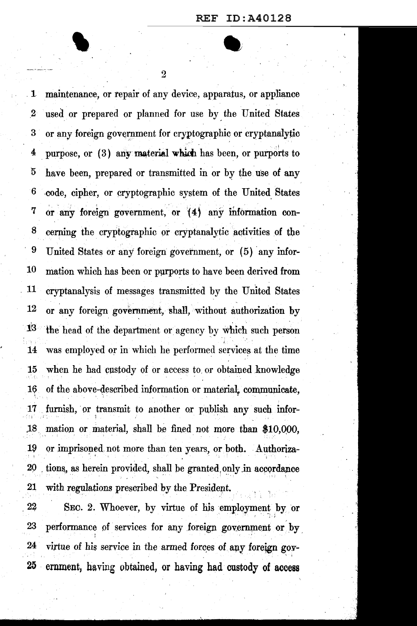$\overline{2}$ 

maintenance, or repair of any device, apparatus, or appliance  $\mathbf{1}$ used or prepared or planned for use by the United States  $\boldsymbol{2}$ 3 or any foreign government for cryptographic or cryptanalytic purpose, or (3) any material which has been, or purports to 4  $\bf{5}$ have been, prepared or transmitted in or by the use of any  $\boldsymbol{6}$ code, cipher, or cryptographic system of the United States  $\overline{7}$ or any foreign government, or (4) any information con-8 cerning the cryptographic or cryptanalytic activities of the 9 United States or any foreign government, or (5) any infor-10 mation which has been or purports to have been derived from 11 cryptanalysis of messages transmitted by the United States 12 or any foreign government, shall, without authorization by 13 the head of the department or agency by which such person was employed or in which he performed services at the time 14 when he had custody of or access to or obtained knowledge 15 16 of the above-described information or material, communicate, furnish, or transmit to another or publish any such infor- $17$ 18 mation or material, shall be fined not more than \$10,000, 19 or imprisoned not more than ten years, or both. Authoriza-20 tions, as herein provided, shall be granted only in accordance 21 with regulations prescribed by the President.

22 SEC. 2. Whoever, by virtue of his employment by or 23 performance of services for any foreign government or by 24 virtue of his service in the armed forces of any foreign gov-25 ernment, having obtained, or having had custody of access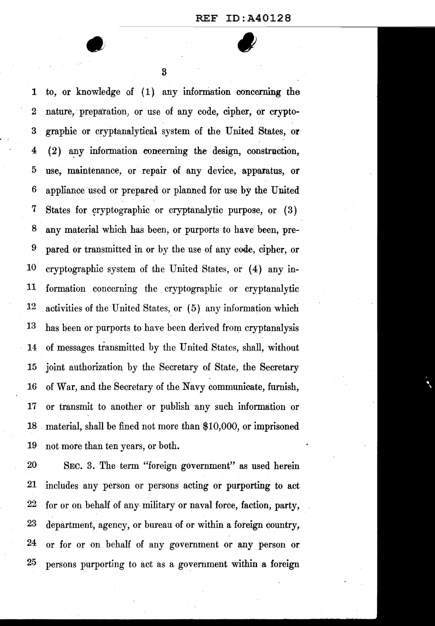3

1 to, or knowledge of (1) any information concerning the 2 nature, preparation, or use of any code, cipher, or crypto-3 graphic or cryptanalytical system of the United States, O?  $4$  (2) any information concerning the design, construction, 5 use,. maintenance, or repair of any device, apparatus, or 6 appliance used or prepared or planned for use by the United 7 States for cryptographic or cryptanalytic purpose, or (3) 8 any material which has been, or purports to have been, pre-9 pared or transmitted in or by the use of any cooe, cipher, or 10 cryptographic system of the United States, or (4) any in-11 formation concerning the cryptographic or cryptanalytic 12 activities of the United States, or (5) any information which 13 has been or purports to have been derived from cryptanalysis 14 of messages transmitted by the United States, shall, without 15 joint authorization by the Secretary of State, the Secretary 16 of War, and the Secretary of the Navy communicate, furnish, 17 or transmit to another or publish any such information or 18 material, shall be fined not more than \$10,000, or imprisoned 19 not more than ten years, or both.

20 SEC. 3. The term "foreign government" as used herein 21 includes any person or persons acting or purporting to act 22 for or on behalf of any military or naval force, faction, party, 23 department, agency, or bureau of or within a foreign country, 24 or for or on behalf of any government or any person or 25 persons purporting to act as a government within a foreign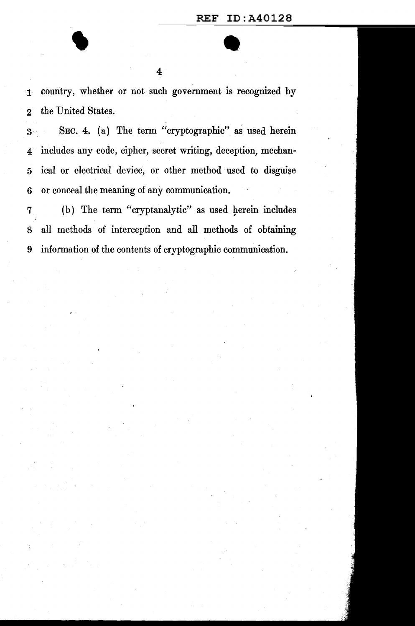1 country, whether or not such government is recognized by 2 the United States.

4

3 SEC. 4. (a) The term "cryptographic" as used herein 4 includes any code, cipher, secret writing, deception, mechan-5 ical or electrical device, or other method used to disguise 6 or conceal the meaning of any communication.

7 (b) The term "cryptanalytic" as used herein includes 8 all methods of interception and all methods of obtaining 9 information of the contents of cryptographic communication.